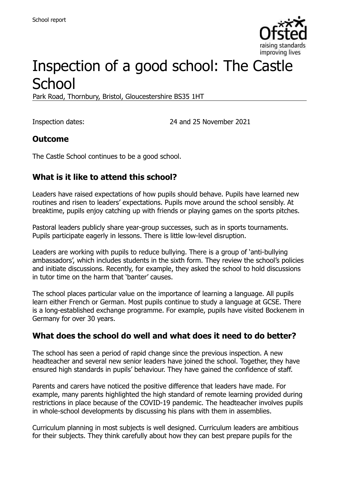

# Inspection of a good school: The Castle **School**

Park Road, Thornbury, Bristol, Gloucestershire BS35 1HT

Inspection dates: 24 and 25 November 2021

#### **Outcome**

The Castle School continues to be a good school.

# **What is it like to attend this school?**

Leaders have raised expectations of how pupils should behave. Pupils have learned new routines and risen to leaders' expectations. Pupils move around the school sensibly. At breaktime, pupils enjoy catching up with friends or playing games on the sports pitches.

Pastoral leaders publicly share year-group successes, such as in sports tournaments. Pupils participate eagerly in lessons. There is little low-level disruption.

Leaders are working with pupils to reduce bullying. There is a group of 'anti-bullying ambassadors', which includes students in the sixth form. They review the school's policies and initiate discussions. Recently, for example, they asked the school to hold discussions in tutor time on the harm that 'banter' causes.

The school places particular value on the importance of learning a language. All pupils learn either French or German. Most pupils continue to study a language at GCSE. There is a long-established exchange programme. For example, pupils have visited Bockenem in Germany for over 30 years.

#### **What does the school do well and what does it need to do better?**

The school has seen a period of rapid change since the previous inspection. A new headteacher and several new senior leaders have joined the school. Together, they have ensured high standards in pupils' behaviour. They have gained the confidence of staff.

Parents and carers have noticed the positive difference that leaders have made. For example, many parents highlighted the high standard of remote learning provided during restrictions in place because of the COVID-19 pandemic. The headteacher involves pupils in whole-school developments by discussing his plans with them in assemblies.

Curriculum planning in most subjects is well designed. Curriculum leaders are ambitious for their subjects. They think carefully about how they can best prepare pupils for the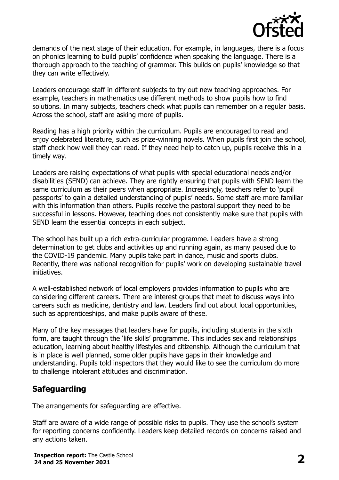

demands of the next stage of their education. For example, in languages, there is a focus on phonics learning to build pupils' confidence when speaking the language. There is a thorough approach to the teaching of grammar. This builds on pupils' knowledge so that they can write effectively.

Leaders encourage staff in different subjects to try out new teaching approaches. For example, teachers in mathematics use different methods to show pupils how to find solutions. In many subjects, teachers check what pupils can remember on a regular basis. Across the school, staff are asking more of pupils.

Reading has a high priority within the curriculum. Pupils are encouraged to read and enjoy celebrated literature, such as prize-winning novels. When pupils first join the school, staff check how well they can read. If they need help to catch up, pupils receive this in a timely way.

Leaders are raising expectations of what pupils with special educational needs and/or disabilities (SEND) can achieve. They are rightly ensuring that pupils with SEND learn the same curriculum as their peers when appropriate. Increasingly, teachers refer to 'pupil passports' to gain a detailed understanding of pupils' needs. Some staff are more familiar with this information than others. Pupils receive the pastoral support they need to be successful in lessons. However, teaching does not consistently make sure that pupils with SEND learn the essential concepts in each subject.

The school has built up a rich extra-curricular programme. Leaders have a strong determination to get clubs and activities up and running again, as many paused due to the COVID-19 pandemic. Many pupils take part in dance, music and sports clubs. Recently, there was national recognition for pupils' work on developing sustainable travel initiatives.

A well-established network of local employers provides information to pupils who are considering different careers. There are interest groups that meet to discuss ways into careers such as medicine, dentistry and law. Leaders find out about local opportunities, such as apprenticeships, and make pupils aware of these.

Many of the key messages that leaders have for pupils, including students in the sixth form, are taught through the 'life skills' programme. This includes sex and relationships education, learning about healthy lifestyles and citizenship. Although the curriculum that is in place is well planned, some older pupils have gaps in their knowledge and understanding. Pupils told inspectors that they would like to see the curriculum do more to challenge intolerant attitudes and discrimination.

# **Safeguarding**

The arrangements for safeguarding are effective.

Staff are aware of a wide range of possible risks to pupils. They use the school's system for reporting concerns confidently. Leaders keep detailed records on concerns raised and any actions taken.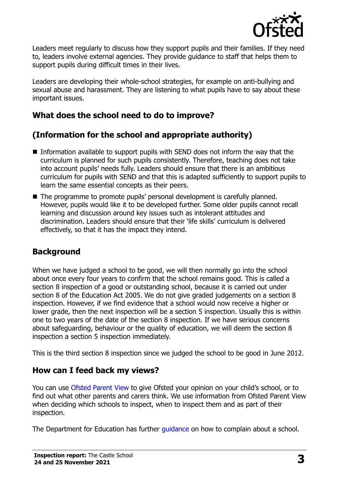

Leaders meet regularly to discuss how they support pupils and their families. If they need to, leaders involve external agencies. They provide guidance to staff that helps them to support pupils during difficult times in their lives.

Leaders are developing their whole-school strategies, for example on anti-bullying and sexual abuse and harassment. They are listening to what pupils have to say about these important issues.

# **What does the school need to do to improve?**

# **(Information for the school and appropriate authority)**

- Information available to support pupils with SEND does not inform the way that the curriculum is planned for such pupils consistently. Therefore, teaching does not take into account pupils' needs fully. Leaders should ensure that there is an ambitious curriculum for pupils with SEND and that this is adapted sufficiently to support pupils to learn the same essential concepts as their peers.
- The programme to promote pupils' personal development is carefully planned. However, pupils would like it to be developed further. Some older pupils cannot recall learning and discussion around key issues such as intolerant attitudes and discrimination. Leaders should ensure that their 'life skills' curriculum is delivered effectively, so that it has the impact they intend.

# **Background**

When we have judged a school to be good, we will then normally go into the school about once every four years to confirm that the school remains good. This is called a section 8 inspection of a good or outstanding school, because it is carried out under section 8 of the Education Act 2005. We do not give graded judgements on a section 8 inspection. However, if we find evidence that a school would now receive a higher or lower grade, then the next inspection will be a section 5 inspection. Usually this is within one to two years of the date of the section 8 inspection. If we have serious concerns about safeguarding, behaviour or the quality of education, we will deem the section 8 inspection a section 5 inspection immediately.

This is the third section 8 inspection since we judged the school to be good in June 2012.

# **How can I feed back my views?**

You can use [Ofsted Parent View](https://parentview.ofsted.gov.uk/) to give Ofsted your opinion on your child's school, or to find out what other parents and carers think. We use information from Ofsted Parent View when deciding which schools to inspect, when to inspect them and as part of their inspection.

The Department for Education has further quidance on how to complain about a school.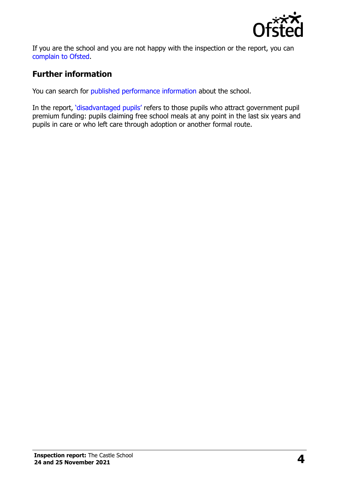

If you are the school and you are not happy with the inspection or the report, you can [complain to Ofsted.](https://www.gov.uk/complain-ofsted-report)

#### **Further information**

You can search for [published performance information](http://www.compare-school-performance.service.gov.uk/) about the school.

In the report, '[disadvantaged pupils](http://www.gov.uk/guidance/pupil-premium-information-for-schools-and-alternative-provision-settings)' refers to those pupils who attract government pupil premium funding: pupils claiming free school meals at any point in the last six years and pupils in care or who left care through adoption or another formal route.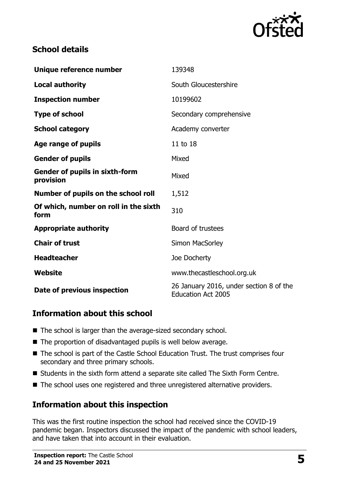

#### **School details**

| Unique reference number                            | 139348                                                               |
|----------------------------------------------------|----------------------------------------------------------------------|
| <b>Local authority</b>                             | South Gloucestershire                                                |
| <b>Inspection number</b>                           | 10199602                                                             |
| <b>Type of school</b>                              | Secondary comprehensive                                              |
| <b>School category</b>                             | Academy converter                                                    |
| Age range of pupils                                | 11 to 18                                                             |
| <b>Gender of pupils</b>                            | Mixed                                                                |
| <b>Gender of pupils in sixth-form</b><br>provision | Mixed                                                                |
| Number of pupils on the school roll                | 1,512                                                                |
| Of which, number on roll in the sixth<br>form      | 310                                                                  |
| <b>Appropriate authority</b>                       | Board of trustees                                                    |
| <b>Chair of trust</b>                              | Simon MacSorley                                                      |
| <b>Headteacher</b>                                 | Joe Docherty                                                         |
| Website                                            | www.thecastleschool.org.uk                                           |
| Date of previous inspection                        | 26 January 2016, under section 8 of the<br><b>Education Act 2005</b> |

#### **Information about this school**

- The school is larger than the average-sized secondary school.
- The proportion of disadvantaged pupils is well below average.
- The school is part of the Castle School Education Trust. The trust comprises four secondary and three primary schools.
- Students in the sixth form attend a separate site called The Sixth Form Centre.
- The school uses one registered and three unregistered alternative providers.

# **Information about this inspection**

This was the first routine inspection the school had received since the COVID-19 pandemic began. Inspectors discussed the impact of the pandemic with school leaders, and have taken that into account in their evaluation.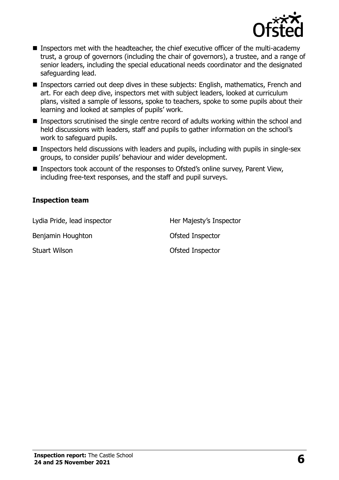

- **Inspectors met with the headteacher, the chief executive officer of the multi-academy** trust, a group of governors (including the chair of governors), a trustee, and a range of senior leaders, including the special educational needs coordinator and the designated safeguarding lead.
- Inspectors carried out deep dives in these subjects: English, mathematics, French and art. For each deep dive, inspectors met with subject leaders, looked at curriculum plans, visited a sample of lessons, spoke to teachers, spoke to some pupils about their learning and looked at samples of pupils' work.
- Inspectors scrutinised the single centre record of adults working within the school and held discussions with leaders, staff and pupils to gather information on the school's work to safeguard pupils.
- **Inspectors held discussions with leaders and pupils, including with pupils in single-sex** groups, to consider pupils' behaviour and wider development.
- Inspectors took account of the responses to Ofsted's online survey, Parent View, including free-text responses, and the staff and pupil surveys.

#### **Inspection team**

Lydia Pride, lead inspector **Her Majesty's Inspector** Benjamin Houghton **Benjamin** Houghton **Construction** Ofsted Inspector Stuart Wilson **Calculation** Ofsted Inspector